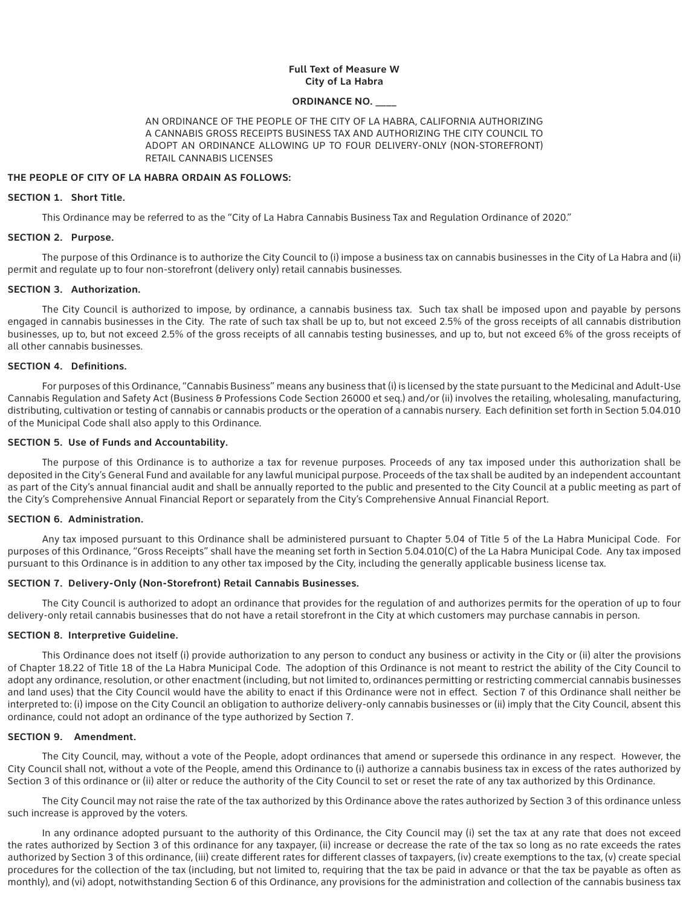## **Full Text of Measure W City of La Habra**

## **ORDINANCE NO. \_\_\_\_**

AN ORDINANCE OF THE PEOPLE OF THE CITY OF LA HABRA, CALIFORNIA AUTHORIZING A CANNABIS GROSS RECEIPTS BUSINESS TAX AND AUTHORIZING THE CITY COUNCIL TO ADOPT AN ORDINANCE ALLOWING UP TO FOUR DELIVERY-ONLY (NON-STOREFRONT) RETAIL CANNABIS LICENSES

## **THE PEOPLE OF CITY OF LA HABRA ORDAIN AS FOLLOWS:**

### **SECTION 1. Short Title.**

This Ordinance may be referred to as the "City of La Habra Cannabis Business Tax and Regulation Ordinance of 2020."

#### **SECTION 2. Purpose.**

The purpose of this Ordinance is to authorize the City Council to (i) impose a business tax on cannabis businesses in the City of La Habra and (ii) permit and regulate up to four non-storefront (delivery only) retail cannabis businesses.

#### **SECTION 3. Authorization.**

The City Council is authorized to impose, by ordinance, a cannabis business tax. Such tax shall be imposed upon and payable by persons engaged in cannabis businesses in the City. The rate of such tax shall be up to, but not exceed 2.5% of the gross receipts of all cannabis distribution businesses, up to, but not exceed 2.5% of the gross receipts of all cannabis testing businesses, and up to, but not exceed 6% of the gross receipts of all other cannabis businesses.

## **SECTION 4. Definitions.**

For purposes of this Ordinance, "Cannabis Business" means any business that (i) is licensed by the state pursuant to the Medicinal and Adult-Use Cannabis Regulation and Safety Act (Business & Professions Code Section 26000 et seq.) and/or (ii) involves the retailing, wholesaling, manufacturing, distributing, cultivation or testing of cannabis or cannabis products or the operation of a cannabis nursery. Each definition set forth in Section 5.04.010 of the Municipal Code shall also apply to this Ordinance.

## **SECTION 5. Use of Funds and Accountability.**

The purpose of this Ordinance is to authorize a tax for revenue purposes. Proceeds of any tax imposed under this authorization shall be deposited in the City's General Fund and available for any lawful municipal purpose. Proceeds of the tax shall be audited by an independent accountant as part of the City's annual financial audit and shall be annually reported to the public and presented to the City Council at a public meeting as part of the City's Comprehensive Annual Financial Report or separately from the City's Comprehensive Annual Financial Report.

## **SECTION 6. Administration.**

Any tax imposed pursuant to this Ordinance shall be administered pursuant to Chapter 5.04 of Title 5 of the La Habra Municipal Code. For purposes of this Ordinance, "Gross Receipts" shall have the meaning set forth in Section 5.04.010(C) of the La Habra Municipal Code. Any tax imposed pursuant to this Ordinance is in addition to any other tax imposed by the City, including the generally applicable business license tax.

## **SECTION 7. Delivery-Only (Non-Storefront) Retail Cannabis Businesses.**

The City Council is authorized to adopt an ordinance that provides for the regulation of and authorizes permits for the operation of up to four delivery-only retail cannabis businesses that do not have a retail storefront in the City at which customers may purchase cannabis in person.

#### **SECTION 8. Interpretive Guideline.**

This Ordinance does not itself (i) provide authorization to any person to conduct any business or activity in the City or (ii) alter the provisions of Chapter 18.22 of Title 18 of the La Habra Municipal Code. The adoption of this Ordinance is not meant to restrict the ability of the City Council to adopt any ordinance, resolution, or other enactment (including, but not limited to, ordinances permitting or restricting commercial cannabis businesses and land uses) that the City Council would have the ability to enact if this Ordinance were not in effect. Section 7 of this Ordinance shall neither be interpreted to: (i) impose on the City Council an obligation to authorize delivery-only cannabis businesses or (ii) imply that the City Council, absent this ordinance, could not adopt an ordinance of the type authorized by Section 7.

### **SECTION 9. Amendment.**

The City Council, may, without a vote of the People, adopt ordinances that amend or supersede this ordinance in any respect. However, the City Council shall not, without a vote of the People, amend this Ordinance to (i) authorize a cannabis business tax in excess of the rates authorized by Section 3 of this ordinance or (ii) alter or reduce the authority of the City Council to set or reset the rate of any tax authorized by this Ordinance.

The City Council may not raise the rate of the tax authorized by this Ordinance above the rates authorized by Section 3 of this ordinance unless such increase is approved by the voters.

In any ordinance adopted pursuant to the authority of this Ordinance, the City Council may (i) set the tax at any rate that does not exceed the rates authorized by Section 3 of this ordinance for any taxpayer, (ii) increase or decrease the rate of the tax so long as no rate exceeds the rates authorized by Section 3 of this ordinance, (iii) create different rates for different classes of taxpayers, (iv) create exemptions to the tax, (v) create special procedures for the collection of the tax (including, but not limited to, requiring that the tax be paid in advance or that the tax be payable as often as monthly), and (vi) adopt, notwithstanding Section 6 of this Ordinance, any provisions for the administration and collection of the cannabis business tax